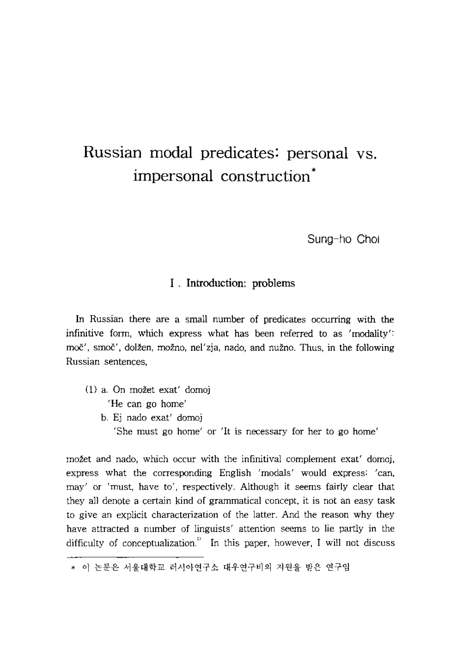# Russian modal predicates: personal vs. impersonal construction'

Sung-ho Choi

## I . Introduction: problems

In Russian there are a small number of predicates occurring with the infinitive form, which express what has been referred to as 'modality'; moč', smoč', dolžen, možno, nel'zja, nado, and nužno. Thus, in the following Russian sentences,

- (1) a, On mazet exat' domoj 'He can go home'
	- b. Ej nado exat' domoj

'She must go home' or 'it is necessary for her to go home'

možet and nado, which occur with the infinitival complement exat' domoj, express what the corresponding English 'modals' would express: 'can, may' or 'must, have to', respectively. Although it seems fairly clear that they all denote a certain kind of grammatical concept, it is not an easy task to give an explicit characterization of the latter. And the reason why they have attracted a number of linguists' attention seems to lie partly in the difficulty of conceptualization.<sup> $n$ </sup> In this paper, however, I will not discuss

<sup>\*</sup> 이 논문은 서울대학교 러시아연구소 대우연구비의 지원을 받은 연구임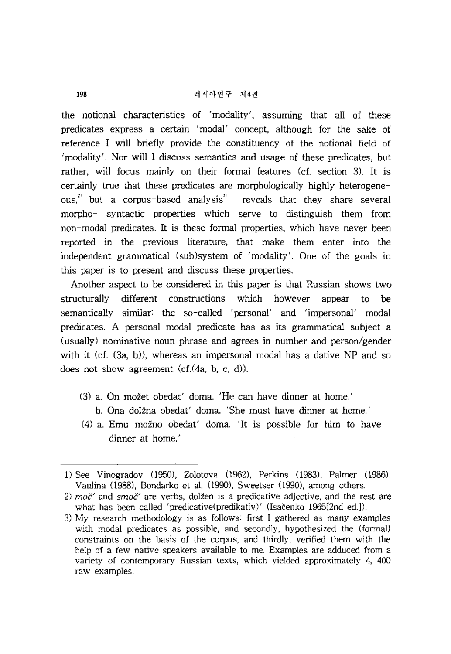the notional characteristics of 'modality', assuming that all of these predicates express a certain 'modal' concept, although for the sake of reference I will briefly provide the constituency of the notional field of 'modality'. Nor will I discuss semantics and usage of these predicates, but rather, will focus mainly on their formal features (cf. section 3). It is certainly true that these predicates are morphologically highly heterogeneous, reveals that they share several morpho- syntactic properties which serve to distinguish them from non-modal predicates. It is these formal properties, which have never been reported in the previous literature, that make them enter into the independent granunatical (sub)system of 'modality', One of the goals in this paper is to present and discuss these properties.

Another aspect to be considered in this paper is that Russian shows two structurally different constructions which however appear to be semantically similar: the so-called 'personal' and 'impersonal' modal predicates. A personal modal predicate has as its grammatical subject a (usually) nominative noun phrase and agrees in number and person/gender with it (cf.  $(3a, b)$ ), whereas an impersonal modal has a dative NP and so does not show agreement  $(cf.(4a, b, c, d))$ .

- (3) a. On mozet obedat' doma. 'He can have dinner at home.'
	- b. Ona dolžna obedat' doma. 'She must have dinner at home.'
- (4) a. Emu mozno obedat' doma. 'It is possible for him to have dinner at home.'

<sup>1)</sup> See Vinogradov (I950), Zolotova (962), Perkins (983), Palmer (1986), Vaulina (1988), Bondarko et al. (1990), Sweetser (1990), among others.

<sup>2)</sup>  $mo^{\prime\prime}$  and  $smo^{\prime\prime}$  are verbs, dolžen is a predicative adjective, and the rest are what has been called 'predicative(predikativ)' (Isačenko 1965[2nd ed.]).

<sup>3)</sup> My research methodology is as follows: first I gathered as many examples with modal predicates as possible, and secondly, hypothesized the (formal) constraints on the basis of the corpus. and thirdly, verified them with the help of a few native speakers available to me. Examples are adduced from a variety of contemporary Russian texts, which yielded approximately 4, 400 raw examples.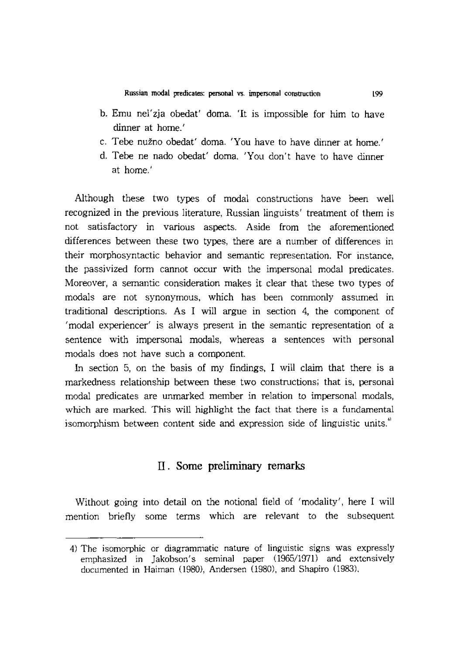- b. Emu nel'zja obedat' doma. 'It is impossible for him to have dinner at home.'
- c. Tebe nužno obedat' doma. 'You have to have dinner at home.'
- d. Tebe ne nado obedat' doma. 'You don't have to have dinner at home.'

Although these two types of modal constructions have been well recognized in the previous literature, Russian linguists' treatment of them is not satisfactory in various aspects. Aside from the aforementioned differences between these two types, there are a number of differences in their morphosyntactic behavior and semantic representation. For mstance, the passivized form cannot occur with the impersonal modal predicates. Moreover, a semantic consideration makes it clear that these two types of modals are not synonymous, which has been commonly assumed in traditional descriptions. As I will argue in section 4, the component of 'modal experiencer' is always present in the semantic representation of a sentence with impersonal modals, whereas a sentences with personal modals does not have such a component.

In section 5, on the basis of my findings, I will claim that there is a markedness relationship between these two constructions; that is, personal modal predicates are unmarked member in relation to impersonal modals, which are marked. This will highlight the fact that there is a fundamental isomorphism between content side and expression side of linguistic units."

## II. Some preliminary remarks

Without going into detail on the notional field of 'modality', here I will mention briefly some terms which are relevant to the subsequent

<sup>4)</sup> The isomorphic or diagrammatic nature of linguistic signs was expressly emphasized in Jakobson's seminal paper (1965/1971) and extensively documented in Haiman (1980), Andersen (1980), and Shapiro (1983),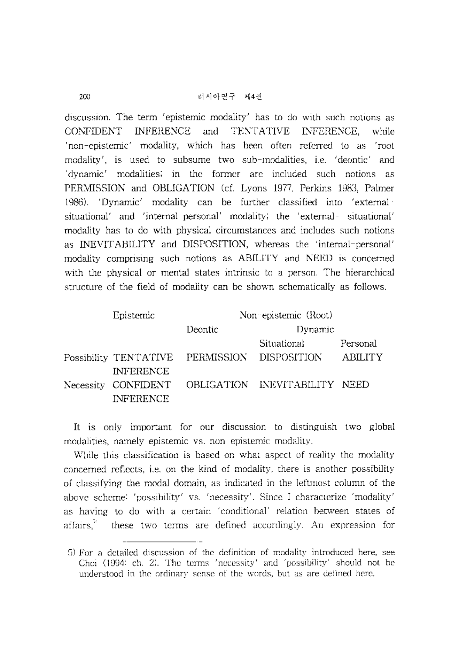discussion. The term 'epistemic modality' has to do with snch notions as CONFIDENT INFERENCE and TENTATIVE INFERENCE, while 'non-cpistemic' modality, which has been often referred to as 'root modality', is used to subsume two sub-modalities, i.e. 'deontic' and 'dynamic' modalities; In the fonner arc included such notions as PERMISSION and OBLIGATION (cf. Lyons 1977, Perkins 1983, Palmer 1986). 'Dynamic' modality can be further classified into 'external situational' and 'internal personal' modality; the 'external- situational' modality has to do with physical circumstances and includes such notions as INEVITABILITY and DISPOSITION, whereas the 'internal-personal' modality comprising such notions as ABILITY and NEED is concerned with the physical or mental states intrinsic to a person. The hierarchical structure of the field of modality can be shown schematically as follows.

| Epistemic        | Non-epistemic (Root)                         |                                                   |                |
|------------------|----------------------------------------------|---------------------------------------------------|----------------|
|                  | Deontic                                      | Dynamic                                           |                |
|                  |                                              | Situational                                       | Personal       |
|                  | Possibility TENTATIVE PERMISSION DISPOSITION |                                                   | <b>ABILITY</b> |
| <b>INFERENCE</b> |                                              |                                                   |                |
|                  |                                              | Necessity CONFIDENT OBLIGATION INEVITABILITY NEED |                |
| <b>INFERENCE</b> |                                              |                                                   |                |

It is only important for our discussion to distinguish two global modalities, namely epistemic vs. non epistemic modality.

While this classification is based on what aspect of reality the modality concerned reflects. i.e. on the kind of modality, there is another possibility of claSSIfying the modal domain, as mdicated m the leftmost column of the above scheme: 'possibility' vs. 'necessity'. Since I characterize 'modality' as having to do with a certain 'conditional' relation between states of affairs, $\frac{v}{x}$  these two terms are defined accordingly. An expression for

 $5)$  For a detailed discussion of the definition of modality introduced here, see Choi (1994: ch. 2). The terms 'necessity' and 'possibility' should not be understood in the ordinary sense of the words, but as are defined here.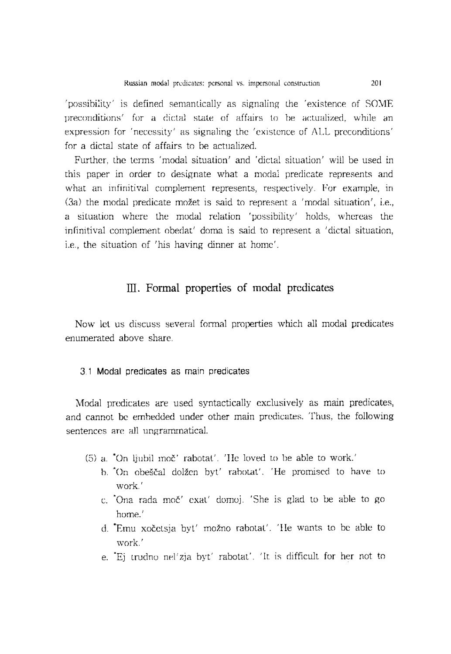$\gamma$  possibility $\gamma$  is defined semantically as signaling the 'existence of SOME preconditions' for a dictal state of affairs to be actualized, while an expression for 'necessity' as signaling the 'existence of ALL preconditions' for a dictal state of affairs to be actualized.

Further, the terms 'modal situation' and 'dictal situation' will be used in this paper in order to designate what a modal predicate represents and what an infinitival complement represents, respectively. For example, in  $(3a)$  the modal predicate možet is said to represent a 'modal situation', i.e., a situation where the modal relation 'possibility' holds, whereas the infinitival complement obedat' doma is said to represent a 'dictal situation, i.e., the situation of 'his having dinner at home'.

## Ill. Formal properties of modal predicates

Now let us discuss several formal properties which all modal predicates enumerated above share.

#### 3 1 Modal predicates as main predicates

),1odal predicates are used syntactically exclusively as main predicates, and cannot be emhedded under other main predicates. Thus. the following sentences are all ungrammatical.

- (5) a.  $*$ On ljubil moč' rabotat'. 'He loved to be able to work.'
	- b. "On obeščal dolžen byt' rabotat'. 'He promised to have to ,vork. '
	- c. 'Ona rada moč' exat' domoj. 'She is glad to be able to go home. '
	- d. Emu xočetsja byt' možno rabotat'. He wants to be able to work. '
	- e. Ej trudno nel'zja byt' rabotat'. 'It is difficult for her not to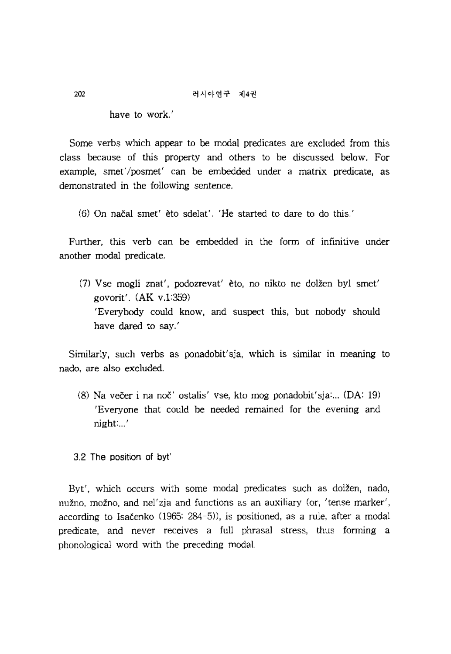have to work.'

Some verbs which appear to be modal predicates are excluded from this class because of this property and others to be discussed below. For example, smet/posmet' can be embedded under a matrix predicate, as demonstrated in the following sentence.

(6) On nacal smet' eto sdelat', 'He started to dare to do this.'

Further, this verb can be embedded in the form of infinitive under another modal predicate.

 $(7)$  Vse mogli znat', podozrevat' èto, no nikto ne dolžen byl smet' govorit'.  $(AK v.1:359)$ 'Everybody could know, and suspect this, but nobody should have dared to say.'

Similarly, such verbs as ponadobit'sja, which is similar in meaning to nado, *are* also excluded.

(8) Na večer i na noč' ostalis' vse, kto mog ponadobit'sja:... (DA: 19) 'Everyone that could be needed remained for the evening and night: ... '

#### 3.2 The position of byt'

Byt', which occurs with some modal predicates such as dolžen, nado, nužno, možno, and nel'zja and functions as an auxiliary (or, 'tense marker', according to Isacenko (1965: 284-5)), is positioned, as a rule, after a modal predicate, and never receives a full phrasal stress, thus fonning a phonological word with the preceding modal.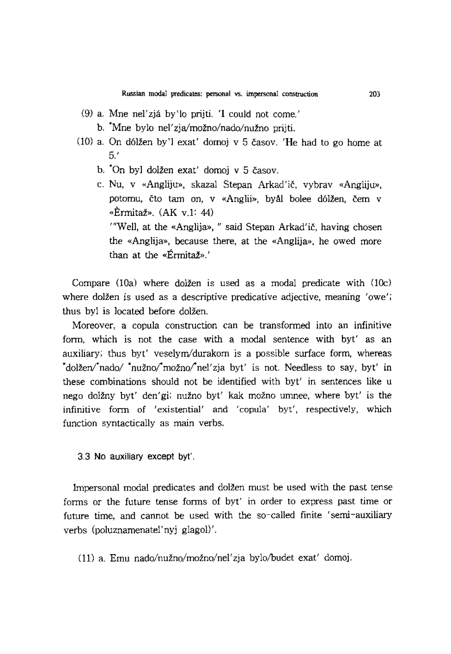- $(9)$  a. Mne nel'zjá by'lo prijti. 'I could not come.'
	- b. "Mne bylo nel'zia/možno/nado/nužno prijti.
- $(10)$  a. On dólžen by'l exat' domoj v 5 časov. 'He had to go home at 5.'
	- b. 'On byJ dolzen exat' domoj v 5 casov.
	- c. Nu, v «Angliju», skazal Stepan Arkad'ič, vybrav «Angliju», potomu, čto tam on, v «Anglii», byal bolee dólžen, čem v «Ennitaz». (AK v.1: 44) '''Well, at the «Anglija», " said Stepan Arkad'ic, having chosen the «Anglija», because there, at the «Anglija», he owed more than at the «Érmitaž».'

Compare  $(10a)$  where dolžen is used as a modal predicate with  $(10c)$ where dolžen is used as a descriptive predicative adjective, meaning 'owe'; thus byl is located before dolžen.

Moreover, a copula construction can be transfonned into an infinitive fonn, which is not the case with a modal sentence with byt' as an auxiliary; thus byt' veselym/durakom is a possible surface form, whereas  $d$ olžen $/$ nado $/$ \*nužno $/$ možno $/$ nel'zja byt' is not. Needless to say, byt' in these combinations should not be identified with byt' in sentences like u nego dolzny byt' den'gi; nuzno byt' kak *moino* umnee, where byt' is the infinitive form of 'existential' and 'copula' byt', respectively, which function syntactically as main verbs.

3.3 No auxiliary except byt'.

Impersonal modal predicates and dolžen must be used with the past tense forms or the future tense forms of byt' in order to express past time or future time, and cannot be used with the so-called finite 'semi-auxiliary verbs (poluznamenatel' nyj glagol)'.

(11) a. Emu nado/nužno/možno/nel'zja bylo/budet exat' domoj.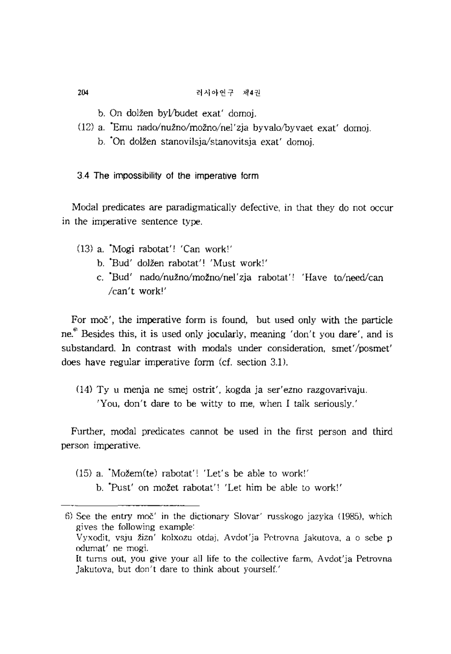- b, On dalzen byl/budet exat' domoj.
- (12) a. \*Emu nado/nužno/možno/nel'zja byvalo/byvaet exat' domoj.
	- b. On dolžen stanovilsja/stanovitsja exat' domoj.
- 3.4 The impossibility of the imperative form

Modal predicates are paradigmatically defective, in that they do not occur in the imperative sentence type.

- (3) a. 'Magi rabotat'! 'Can work!'
	- b. 'Bud' dalzen rabotat'! 'Must work!'
	- c. "Bud' nado/nužno/možno/nel'zja rabotat'! 'Have to/need/can *!can't* work!'

For moc', the imperative form is found, but used only with the particle ne.<sup>6</sup> Besides this, it is used only jocularly, meaning 'don't you dare', and is substandard. In contrast with modals under consideration, smet'/posmet' does have regular imperative form  $(cf.$  section  $3.1$ ).

 $(14)$  Ty u menja ne smej ostrit', kogda ja ser'ezno razgovarivaju. 'You, don't dare to be witty to me, when I talk seriously,'

Further, modal predicates cannot be used in the first person and third person imperative.

- (5) a. "Mozem(te) rabotat'! 'Let's be able to work!'
	- b. 'Pust' on mozet rabotat'! 'Let him be able to work!'

 $6)$  See the entry moč' in the dictionary Slovar' russkogo jazyka (1985), which gives the following example: Vyxodit, vsju žizn' kolxozu otdaj, Avdot'ja Petrovna Jakutova, a o sebe p odumat' ne magi. It turns out, you give your all life to the collective farm, Avdot'ja Petrovna ]akutova, but don't dare to think about yourself.'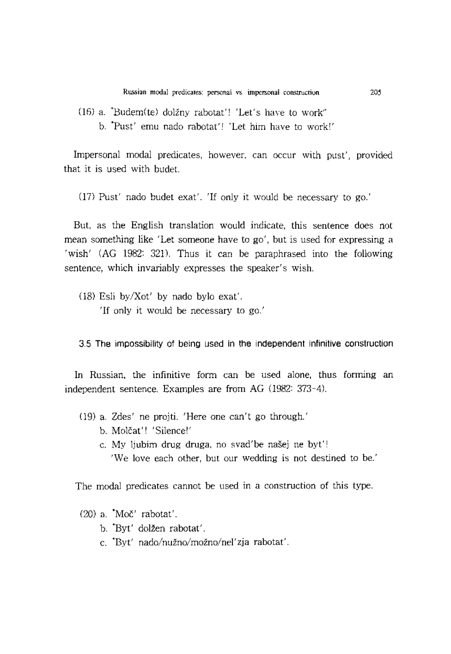- $(16)$  a. 'Budem(te) dolžny rabotat'! 'Let's have to work"
	- b. 'Pust' emu nado rabotat'! 'Let him have to work!'

Impersonal modal predicates, however, can occur with pust', provided that it is used with budet.

 $(17)$  Pust' nado budet exat'. 'If only it would be necessary to go.'

But, as the English translation would indicate, this sentence does not mean something like 'Let someone have to go', but is used for expressing a 'wish' (AG 1982: 321). Thus it can be paraphrased into the following sentence, which invariably expresses the speaker's wish.

(1S) Esli by/Xot' by nado bylo exat'. 'If only it would be necessary to go.'

3.5 The impossibility of being used in the Independent infinitive construction

In Russian, the infinitive form can be used alone, thus forming an independent sentence. Examples are from AG (1982: 373-4).

- (9) a. Zdes' ne projti. 'Here one can't go through.'
	- b. Molčat'! 'Silence!'
	- c. My ljubim drug druga, no svad'be našej ne byt'!

'We love each other, but our wedding is not destined to be.'

The modal predicates cannot be used in a construction of this type.

 $(20)$  a.  $^{4}$ Moč' rabotat'.

- b. "Byt' dolzen rabotat'.
- c. 'Eyt' nado/nuzno/mozno/nel'zja rabotat'.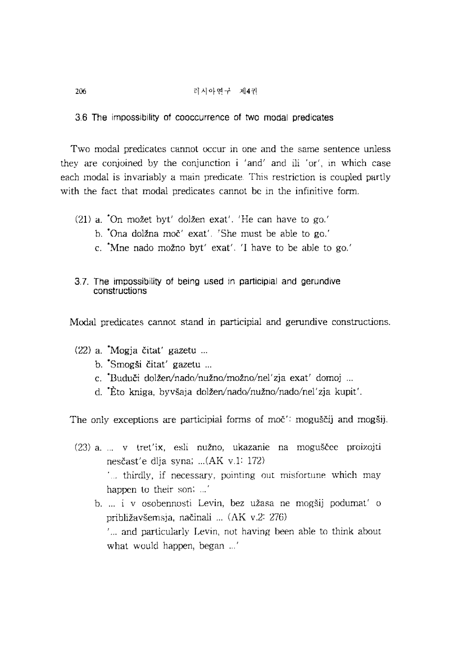3.6 The impossibility of cooccurrence of two modal predicates

Two modal predicates cannot occur in one and the same sentence unless they are conjoined by the conjunction i 'and' and ili 'or', m which case each modal is invariably a main predicate. This restriction is coupled partly with the fact that modal predicates cannot be in the infinitive form.

- $(21)$  a.  $\bullet$ On možet byt' dolžen exat'. 'He can have to go.'
	- h. 'Ona dolzna moe' exat' 'She must be able to go.'
	- c. 'Moe nado mozna byt' exat', 'I have to be abJe to go,'
- 3.7. The impossibility of being used in participial and gerundive constructions

Modal predicates cannot stand in participial and gerundive constructions.

## $(22)$  a. Mogja čitat' gazetu ...

- b. Smogši čitat' gazetu ...
- c. Buduči dolžen/nado/nužno/možno/nel'zja exat' domoj ...
- d. ·Eto kniga, byvsaja dolzen/nado/nuzno/nado/nel'zja kupit'.

The only exceptions are participial forms of moe': moguščij and mogšij.

- (23) a. ... v tret'ix, esli nužno, ukazanie na moguščee proizojti nesčast'e dlja syna; ... (AK v.1: 172)  $t_{\rm m}$  thirdly, if necessary, pointing out misfortune which may happen to their son; ...'
	- b. ... i v osobennosti Levin, bez užasa ne mogšij podumat' o približavšemsja, načinali ... (AK v.2: 276) '... and particularly Levin, not having been able to think about what would happen, began ...'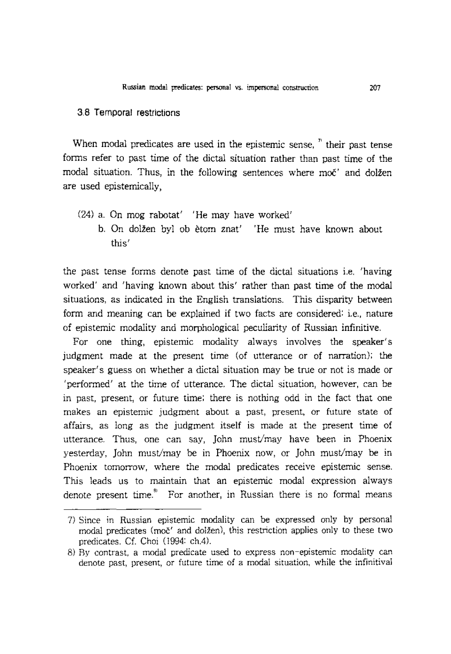### 3.8 Temporal restrictions

When modal predicates are used in the epistemic sense,  $\overline{a}$  their past tense forms refer to past time of the dictal situation rather than past time of the modal situation. Thus, in the following sentences where moe' and dolžen *are* used epistemically,

- (24) a. On mag rabotat' 'He may have worked'
	- b. On dolžen byl ob ètom znat' 'He must have known about this'

the past tense forms denote past time of the dictal situations i.e. 'having worked' and 'having known about this' rather than past time of the modal situations, as indicated in the English translations. This disparity between form and meaning can be explained if two facts *are* considered: i.e., nature of epistemic modality and morphological peculiarity of Russian infinitive.

For one thing, epistemic modality always involves the speaker's judgment made at the present time (of utterance or of narration); the speaker's guess on whether a dictal situation may be true or not is made or 'perfonned' at the time of utterance. The dictal situation, however, can be in past, present, or future time; there is nothing odd in the fact that one makes an epistemic judgment about a past, present, or future state of affairs, as long as the judgment itself is made at the present time of utterance. Thus, one can say, John must/may have been in Phoenix yesterday, John must/may be in Phoenix now, or John must/may be in Phoenix tomorrow, where the modal predicates receive episternic sense. This leads us to maintain that an epistemic modal expression always denote present time.<sup>8</sup> For another, in Russian there is no formal means

<sup>7)</sup> Since in Russian epistemic modality can be expressed only by personal modal predicates (moc<sup>'</sup> and dolžen), this restriction applies only to these two predicates. Cf. Choi (1994: ch.4).

<sup>8)</sup> By contrast, a modal predicate used to express non-epistemic modality can denote past, present, or future time of a modal situation, while the infinitival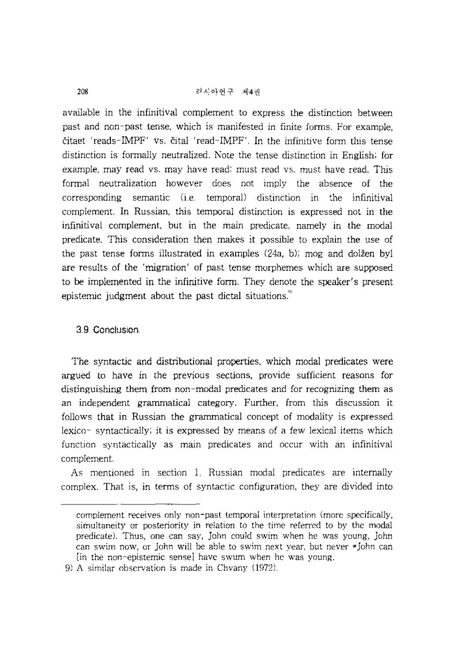## 리샤아연구 제4권

available in the infinitival complement to express the distinction between past and non-past tense, which is manifested in finite forms. For example, čitaet 'reads-IMPF' vs. čital 'read-IMPF'. In the infinitive form this tense distinction is formally neutralized. Kate the tense distinction in English: for example, may read vs. may have read: must read vs. must have read. This formal neutralization however does not imply the absence of the  $corresponding$  semantic (i.e. temporal) distinction in the infinitival complement. In Russian, this temporal distinction is expressed not in the infinitival complement. but in the main predicate, namely in the modal predicate. This consideration then makes it possible to explain the use of the past tense forms illustrated in examples (24a, b); mog and dolzen byl are results of the 'migration' of past tense morphemes which are supposed to be implemented in the infinitive form. They denote the speaker's present epistemic judgment about the past dictal situations.'''

## 3.9 ConclusIon.

The syntactic and distributional properties, which modal predicates were argued to have in the previous sections, provide sufficient reasons for distinguishing them from non-modal predicates and for recognizing them as an independent grammatical category. Further, from this discussion it follows that in Russian the grammatical concept of modality is expressed lexico- syntactically; it is expressed by means of a few lexical items which function syntactically as main predicates and occur with an infinitival complement.

As mentioned in section 1. Russian modal predicates are internally complex. That is, m tenns of syntactic configuration, they are divided into

complement receives only non-past temporal intepretation (more specifically, simultaneity or posteriority in relation to the time referred to by the modal predicate). Thus, one can say, John could swim when he was young, John can swim now, or John will be able to swim next year, but never  $*$  John can [in the non-epistemic sense] have swum when he was young.

<sup>9)</sup> A similar observation is made in Chvany (1972)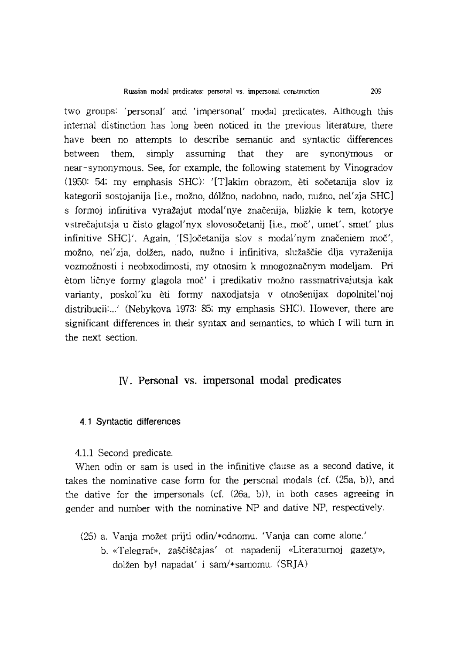two groups: 'personal' and 'impersonal' modal predicates. Although this internal distinction has long been noticed in the previous literature, there have been no attempts to describe semantic and syntactic differences between them, simply assuming that they are synonymous or near-synonymous. See, for example, the following statement by Vinogradov 0950: 54; my emphasis SHe): '[Tlakim obrazom. eti soeetanija slov iz kategorii sostojanija [i.e., možno, dólžno, nadobno, nado, nužno, nel'zja SHC] s formoj infinitiva vyražajut modal'nye značenija, blizkie k tem, kotorye vstrečajutsja u čisto glagol'nyx slovosočetanij [i.e., moč', umet', smet' plus infinitive SHC]', Again, '[S]očetanija slov s modal'nym značeniem moč', možno, nel'zja, dolžen, nado, nužno i infinitiva, služaščie dlja vyraženija vozmožnosti i neobxodimosti, my otnosim k mnogoznačnym modeljam. Pri ètom ličnye formy glagola moč' i predikativ možno rassmatrivajutsja kak varianty, poskol'ku èti formy naxodjatsja v otnošenijax dopolnitel'noj distribucii:. .. ' (Nebykova 1973: 85; my emphasis SHe), However, there are significant differences in their syntax and semantics, to which I will turn in the next section.

## N. Personal vs. impersonal modal predicates

#### 4.1 Syntactic differences

4.1.1 Second predicate.

When odin or sam is used in the infinitive clause as a second dative, it takes the nominative case form for the personal modals (cf.  $(25a, b)$ ), and the dative for the impersonals (cf.  $(26a, b)$ ), in both cases agreeing in gender and number with the nominative NP and dative NP, respectively.

- (25) a, Vanja *moiet* prijti odin/\*odnomu, 'Vanja can come alone.'
	- b. «Telegraf», zaščiščajas' ot napadenij «Literaturnoj gazety», dolžen byl napadat' i sam/\*samomu.  $(SRJA)$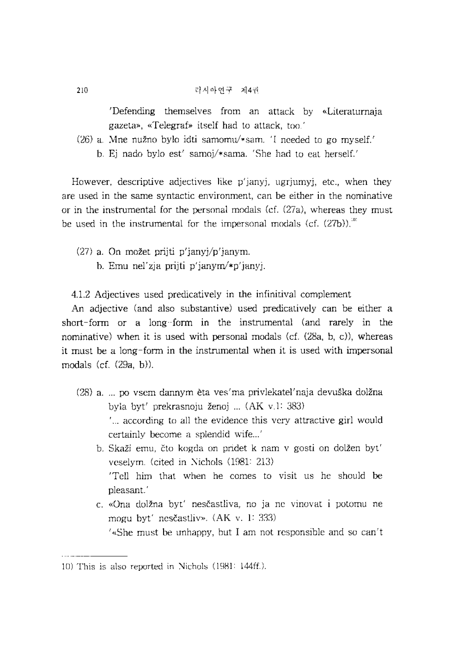#### 라시아연구 제4권

'Defending themselves from an attack by «Literaturnaia gazela», «Telegraf» itself had to attack, too'

 $(26)$  a. Mne nužno bylo idti samomu/\*sam, 'I needed to go myself.'

b. Ej nado bylo est' samoj/\*sama. 'She had to eal herself.'

However, descriptive adjectives like  $p'$ janyj, ugrjumyj, etc., when they are used in the same syntactic environment, can be either in the nominative or in the instrumental for the personal modals (cf.  $(27a)$ , whereas they must be used in the instrumental for the impersonal modals (cf.  $(27b)$ ).<sup>101</sup>

(27) a. On mozet prijti p'janyj/p'janym.

b. Emu nel'zia prijti p'janym $\sqrt{\pi}$ 'janyj.

4.1.2 Adjectives used predicatively in the infinitival complement

An adjective (and also substantive) used predicaliveiy can be either a short-form or a long-form in the instrumental (and rarely in the nominative) when it is used with personal modals  $(cf. (28a, b, c))$ , whereas it must be a long-form in the instrumental when it is used with impersonal modals  $(cf. (29a, b))$ .

- (28) a. po vscm dannym eta ves'ma privlekatel'naja devuska dolzna byla byt' prekrasnoju ženoj ... (AK v 1: 383) according to all the evidence this very attractive girl would
	- certainly become a splendid wife...' b. Skaži emu, čto kogda on pridet k nam v gosti on dolžen byt' veselym. (cited in Nichols  $(1981: 213)$ ) 'Tell him that when he comes to visit us he should be
	- c. «Ona dolzna byt' nescastliva, no ja ne vmovat i potumu ne mogu byt' nesčastliv». (AK v. 1: 333)

'«She must be unhappy, hut I am not responsible and so can't

pleasant. '

 $10$ ) This is also reported in Nichols (1981:  $144\text{ff}$ .).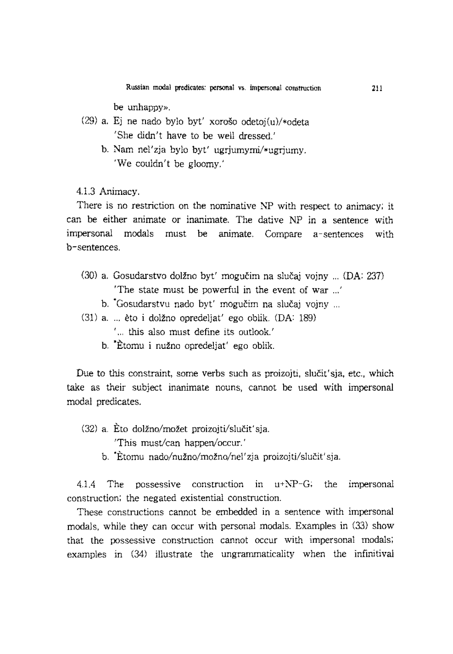Russian modal predicates: personal vs. impersonal construction

be unhappy».

- (29) a. Ej ne nado bylo byt' xoroso odetoj(u)/\*odeta 'She didn't have to be well dressed.'
	- b. Nam nel'zja bylo byt' ugrjumymi/\*ugrjumy. 'We couldn't be gloomy.'

4.1.3 Animacy.

There is no restriction on the nominative NP with respect to animacy; it can be either animate or inanimate. The dative NP in a sentence with impersonal modals must be animate. Compare a-sentences with b-sentences.

- $(30)$  a. Gosudarstvo dolžno byt' mogučim na slučaj vojny ...  $(DA: 237)$ 'The state must be powerful in the event of war ... '
	- b. Gosudarstvu nado byt' mogučim na slučaj vojny ...
- (31) a. ... èto i dolžno opredeljat' ego oblik. (DA: 189)
	- ' ... this also must define its outlook.'
	- b. \*Etomu i nuzno opredeljat' ego oblik.

Due to this constraint, some verbs such as proizojti, slučit'sja, etc., which take as their subject inanimate nouns, cannot be used with impersonal modal predicates.

 $(32)$  a. Eto dolžno/možet proizoiti/slučit'sia.

'This must/can happen/occur.'

b. Etomu nado/nužno/možno/nel'zja proizojti/slučit'sja.

4.1.4 The possessive construction in u+NP-G; the impersonal construction; the negated existential construction.

These constructions cannot be embedded in a sentence with impersonal modals, while they can occur with personal modals. Examples in (33) show that the possessive construction cannot occur with impersonal modals; examples in (34) illustrate the ungrammaticality when the infinitival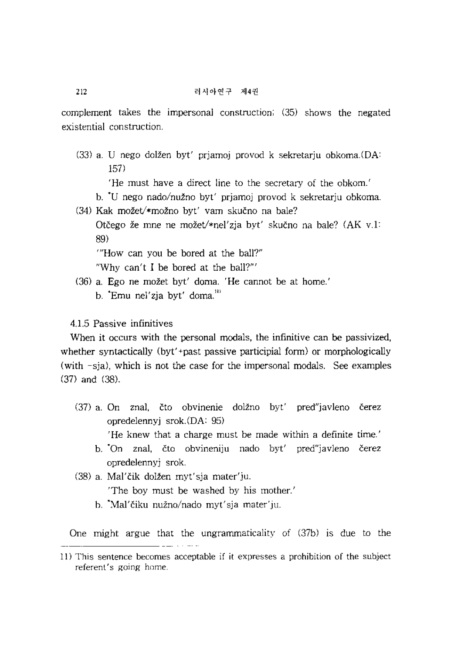complement takes the impersonal construction; (35) shows the negated existential construction.

- $(33)$  a. U nego dolžen byt' priamoj provod k sekretarju obkoma. $(DA)$ 157)
	- 'He must have a direct line to the secretary of the obkom.'
	- b. 'u nego *nado/nuzno* byt' prjamoj provod k sekretarju obkoma.
- (34) Kak možet/\*možno byt' vam skučno na bale?

Otčego že mne ne možet/\*nel'zja byt' skučno na bale? (AK v.1: 89)

'''How can you be bored at the ball?"

"Why can't I be bored at the ball?"'

- (36) a. Ego ne mozet byt' doma. 'He cannot be at home.'
	- b. 'Emu nel'zia byt' doma."

4.1.5 Passive infinitives

When it occurs with the personal modals, the infinitive can be passivized. whether syntactically (byt'+past passive participial form) or morphologically (with -sja), which is not the case for the impersonal modals. See examples (37) and (38).

(37) a. On znal, čto obvinenie dolžno byt' pred"javleno čerez opredelennyj srok.(DA: 95)

'He knew that a charge must be made within a definite time.'

- b. 'On znal, čto obvineniju nado byt' pred"javleno čerez opredelennyj srok.
- (38) a. Mal'Cik dolzen myt'sja mater'ju. 'The boy must be washed by his mother.'
	- b. 'Mal'eiku *nuzno/nado* myt'sja mater'ju.

One might argue that the ungrammaticality of (37b) is due to the

<sup>11)</sup> This sentence becomes acceptable if it expresses a prohibition of the subject referent's going home.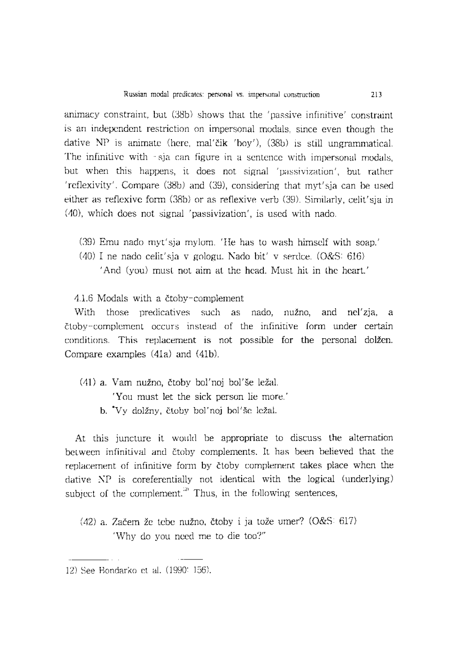animacy constraint, but (38b) shows that the 'passive infinitive' constraint is an independent restriction on impersonal modals, since even though the dative  $NP$  is animate (here, mal'čik 'boy'),  $(38b)$  is still ungrammatical. The infinitive with -sja can figure in a sentence with impersonal modals, but when this happens, it does not signal 'passivization', but rather 'reflexivity'. Compare (38b) and (39), considering that myt'sja can be used either as reflexive form (38b) or as reflexive verb (39). Similarly, celit'sja in (40), which does not signal 'passivization', is used with nado.

- (39) Emu nado myt'sja mylom. 'He has to wash himself with soap.'
- (40) I ne nado celit'sja v gologu. Nado bit' v serdce. (O&S: 616)
	- 'And (you) must not aim at the head. Must hit in the heart.'

4.1.6 Modals with a ctoby-complement

With those predicatives such as nado, nužno, and nel'zia, a ctoby-complement occurs instead of the infinitive form under certain conditions. This replacement is not possible for the personal dolžen. Compare examples (41a) and (41b).

(41) a. Yam nuzno, ctoby bol'noj bol'se lezal. 'You must let the sick person lie more.' b. 'Yy dolzny, ctoby bol'noj bol'se lezal.

At this juncture it would be appropriate to discuss the alternation between infinitival and ctoby complements. It has been believed that the replacement of infinitive form by ctoby-complement takes place when the dative  $NP$  is coreferentially not identical with the logical (underlying) subject of the complement.<sup>21</sup> Thus, in the following sentences,

 $(42)$  a. Začem že tebe nužno, čtoby i ja tože umer?  $(0&S: 617)$ 'Why do you need me to die too?"

<sup>12)</sup> See Bondarko et al. 0990: 156).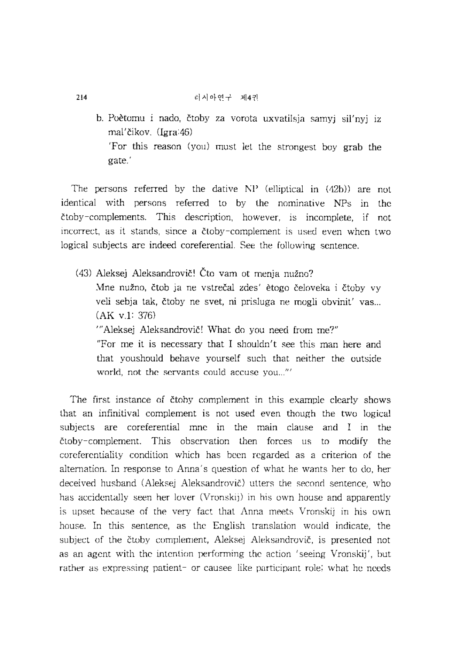b. Poètomu i nado, čtoby za vorota uxvatilsja samyj sil'nyj iz mal'Cikov. (Igra:46) 'For this reason (you) must let the strongest boy grab the gate.'

The persons referred by the dative NP (elliptical in (42b)) are not identical with persons referred to by the nominative NPs in the ctoby-complements. This description, however, is incomplete, if not incorrect, as it stands, since a ctoby-complement is used even when two logical subjects are indeed coreferential. See the following sentence.

(43) Aleksej Aleksandrovič! Čto vam ot menja nužno? Mne nuzno, ctob ja ne vstrecal zdes' etogo celoveka i ctoby vy veli sebja tak, čtoby ne svet, ni prisluga ne mogli obvinit' vas... (AK v.l: 376) "Aleksej Aleksandrovič! What do you need from me?" "For me it is necessary that I shouldn't see this man here and that you should behave yourself such that neither the outside world, not the servants could accuse you..."'

The first instance of čtoby complement in this example clearly shows that an infinitival complement is not used even though the two logical subjects are coreferential mne in the main clause and I in the ctoby-complement. This observation then forces us to modify the coreferentiality condition which has been regarded as a criterion of the alternation. In response to Anna's question of what he wants her to do, her deceived husband (Aleksej Aleksandrovic) utters the second sentence, who has accidentally seen her lover (Vronskij) in his own house and apparently is upset because of the very fact that Anna meets V ronskij in his own house. In this sentence, as the English translation would indicate, the subject of the čtoby-complement, Aleksej Aleksandrovič, is presented not as an agent with the intention performing the action 'seeing Vronskij', but rather as expressing patient- or causee-like participant role; what he needs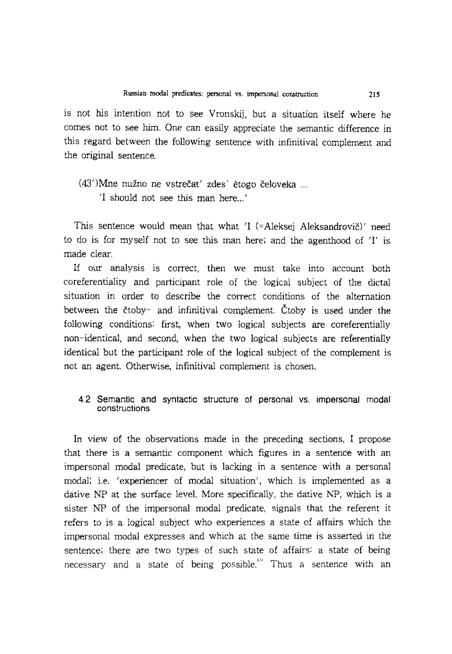is not his intention not to see Vronskij, but a situation itself where he comes not to see him. One can easily appreciate the semantic difference in this regard between the following sentence with infinitival complement and the original sentence.

## (43')Mne nuzno ne vstrecat' zdes' etogo celoveka ... 'I should not see this man here...'

This sentence would mean that what 'I (=Aleksej Aleksandrovič)' need to do is for myself not to see this man here; and the agenthood of 'I' is made clear.

If our analysis is correct, then we must take into account both coreferentiality and participant role of the logical subject of the dictal situation in order to describe the correct conditions of the alternation between the ctoby- and infinitival complement. Ctoby is used under the following conditions: first, when two logical subjects are coreferentially non-identical, and second, when the two logical subjects are referentially identical but the participant role of the logical subject of the complement is not an agent. Otherwise, infinitival complement is chosen.

#### 4.2 Semantic and syntactic structure of personal vs. impersonal modal constructions

In view of the observations made in the preceding sections, I propose that there is a semantic component which figures in a sentence with an impersonal modal predicate, but is lacking in a sentence with a personal modal; i.e. 'experiencer of modal situation', which is implemented as a dative NP at the surface level. More specifically, the dative NP, which is a sister NP of the impersonal modal predicate, signals that the referent it refers to is a logical subject who experiences a state of affairs which the impersonal modal expresses and which at the same time is asserted in the sentence; there are two types of such state of affairs: a state of being necessary and a state of being possible. $\cdot$ <sup>11</sup> Thus a sentence with an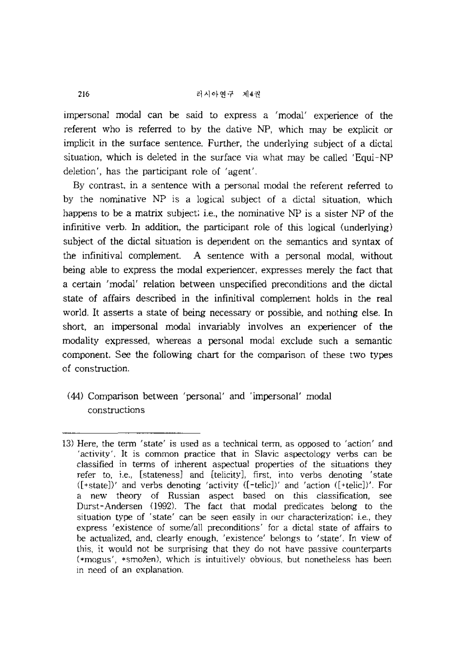impersonal modal can be said to express a 'modal' experience of the referent who is referred to by the dative NP, which may be explicit or implicit in the surface sentence. Further, the underlying subject of a dictal situation, which is deleted in the surface via what may be called 'Equi-NP deletion', has the participant role of 'agent'.

By contrast, in a sentence with a personal modal the referent referred to by the nominative NP is a logical subject of a dictal situation, which happens to be a matrix subject; i.e., the nominative NP is a sister NP of the infinitive verb. In addition, the participant role of this logical (underlying) subject of the dictal situation is dependent on the semantics and syntax of the infinitival complement. A sentence with a personal modal, without being able to express the modal experiencer, expresses merely the fact that a certain 'modal' relation between unspecified preconditions and the dictal state of affairs described in the infinitival complement holds in the real world. It asserts a state of being necessary or possible, and nothing else. In short, an impersonal modal invariably involves an experiencer of the modality expressed, whereas a personal modal exclude such a semantic component. See the following chart for the comparison of these two types of construction.

(44) Comparison between 'personal' and 'impersonal' modal constructions

<sup>13)</sup> Here, the term 'state' is used as a technical term, as opposed to 'action' and 'activity'. It is common practice that in Slavic aspectology verbs can be classified in terms of inherent aspectual properties of the situations they refer to, i.e., [stateness] and [telicity], first, into verbs denoting 'state  $(\text{[+state]})'$  and verbs denoting 'activity  $(\text{[-telic]})'$  and 'action  $(\text{[-telic]})'$ . For a new theory of Russian aspect based on this classification, see Durst-Andersen (1992). The fact that modal predicates belong to the situation type of 'state' can be seen easily in our characterization; i.e., they express 'existence of some/all preconditions' for a dictal state of affairs to be actualized, and, clearly enough, 'existence' belongs to 'state'. In view of this, it would not be surprising that they do not have passive counterparts (\*mogus', \*smozen), which is intuitively obvious, but nonetheless has been in need of an explanation.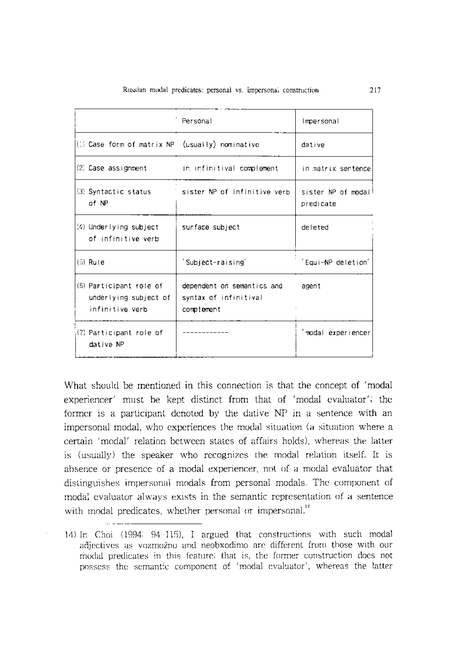|                                                                     | Personal                                                          | Impersonal                       |
|---------------------------------------------------------------------|-------------------------------------------------------------------|----------------------------------|
| (1) Case form of matrix NP (usually) nominative                     |                                                                   | dative                           |
|                                                                     | (2) Case assignment the intinitival complement                    | in matrix sertence               |
| (3) Syntactic status<br>of NP                                       | sister NP of infinitive verb                                      | sister NP of modal!<br>predicate |
| (4) Underlying subject<br>of infinitive verb                        | surface subject                                                   | deleted                          |
| $(5)$ Rule                                                          | 'Subject-raising'                                                 | 'Equi-NP deletion'               |
| (6) Participant role of<br>underlying subject of<br>infinitive verb | dependent on semantics and<br>syntax of infinitival<br>complement |                                  |
| (7) Participant role of<br>dative NP                                |                                                                   | 'modal experiencer               |

What should be mentioned in this connection is that the concept of 'modal experiencer' must be kept distinct from that of 'modal evaluator'; the former is a participant denoted by the dative NP in a sentence with an impersonal modal, who experiences the modal situation (a situation where a certain 'modal' relation between states of affairs holds), whereas the latter is (usually) the speaker who recognizes the modal relation itself. It is absence or presence of a modal experiencer, not of a modal evaluator that distinguishes impersonal modals from personal modals. The component of modal evaluator always exists in the semantic representation of a sentence with modal predicates, whether personal or impersonal.<sup>141</sup>

<sup>14)</sup> In Choi (1994: 94-115), I argued that constructions with such modal adjectives as vozmozno and neobxodimo are different from those with our modal predicates in this feature; that is, the former construction does not possess the semantic component of 'modal evaluator', whereas the latter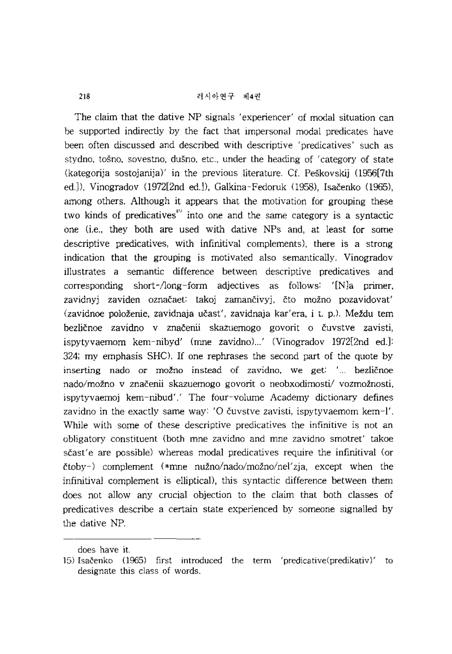The claim that the dative NP signals' experiencer' of modal situation can be supported indirectly by the fact that impersonal modal predicates have been often discussed and described with descriptive 'predicatives' such as stydno, tosno, sovestno, dusno, etc., under the heading of 'category of state (kategorija sostojanija), in the previous literature. Cf. Peskovskij (1956[7th ed.]), Vinogradov (1972[2nd ed.]), Galkina-Fedoruk (1958), Isačenko (1965), among others. Although it appears that the motivation for grouping these two kinds of predicatives<sup>151</sup> into one and the same category is a syntactic one (i.e., they both are used with dative NPs and, at least for some descriptive predicatives, with infinitival complements), there is a strong indication that the grouping is motivated also semantically. Vinogradov illustrates a semantic difference between descriptive predicatives and corresponding short- $\Lambda$ ong-form adjectives as follows:  $\Lambda$  as primer, zavidnyj zaviden označaet: takoj zamančivyj, čto možno pozavidovať (zavidnoe položenie, zavidnaja učast', zavidnaja kar'era, i t. p.). Meždu tem bezličnoe zavidno v značenii skazuemogo govorit o čuvstve zavisti, ispytyvaemom kem-nibyd' (mne zavidno)...' (Vinogradov 1972[2nd ed.]: 324; my emphasis SHC). If one rephrases the second part of the quote by inserting nado or možno instead of zavidno, we get: '... bezličnoe nado/možno v značenii skazuemogo govorit o neobxodimosti/ vozmožnosti, ispytyvaemoj kem-nibud'.' The four-volume Academy dictionary defines zavidno in the exactly same way: 'O čuvstve zavisti, ispytyvaemom kern-l'. While with some of these descriptive predicatives the infinitive is not an obligatory constituent (both mne zavidno and mne zavidno smotret' takoe scast' e are possible) whereas modal predicatives require the infinitival (or  $\text{ctoby-}$ ) complement (\*mne nužno/nado/možno/nel'zja, except when the infinitival complement is elliptical), this syntactic difference between them does not allow any crucial objection to the claim that both classes of predicatives describe a certain state experienced by someone signalled by the dative NP.

does have it.

<sup>15)</sup> Isačenko (1965) first introduced the term 'predicative(predikativ)' to designate this class of words.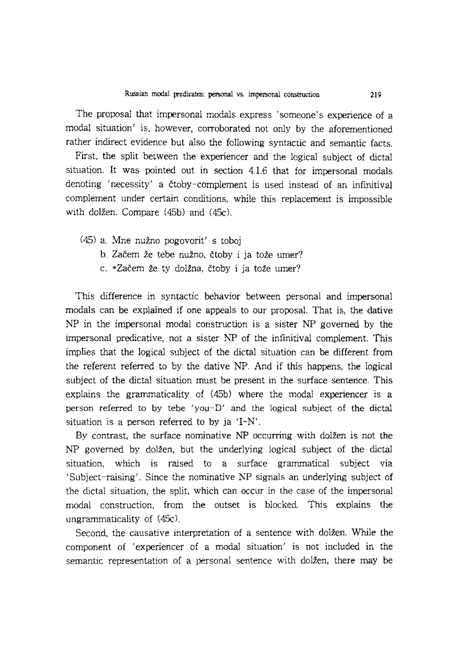The proposal that impersonal modals express 'someone's experience of a modal situation' is, however, corroborated not only by the aforementioned rather indirect evidence but also the following syntactic and semantic facts.

First, the split between the experiencer and the logical subject of dictal situation. It was pointed out in section 4.1.6 that for impersonal modals denoting 'necessity' a ctoby-complement is used instead of an infinitival complement under certain conditions, while this replacement is impossible with dolžen. Compare (45b) and (45c).

- (45) a. Mne nuzno pogovorit' s toboj
	- b. Začem že tebe nužno, čtoby i ja tože umer?
	- c. \*Zacem ze ty dolzna, ctoby i ja toze umer?

This difference in syntactic behavior between personal and impersonal modals can be explained if one appeals to our proposal. That is, the dative NP in the impersonal modal construction is a sister NP governed by the impersonal predicative, not a sister NP of the infinitival complement. This implies that the logical subject of the dictal situation can be different from the referent referred to by the dative NP. And if this happens, the logical subject of the dictal situation must be present in the surface sentence. This explains the grammaticality of (45b) where the modal experiencer is a person referred to by tebe 'you-D' and the logical subject of the dictal situation is a person referred to by ja 'I-N'.

By contrast, the surface nominative NP occurring with dolzen is not the NP governed by dolzen, but the underlying logical subject of the dictal situation, which is raised to a surface grammatical subject via , Subject-raising'. Since the nominative NP signals an underlying subject of the dictal situation, the split, which can occur in the case of the impersonal modal construction, from the outset is blocked. This explains the ungrammaticality of (45C).

Second, the causative interpretation of a sentence with dolžen. While the component of 'experiencer of a modal situation' is not included in the semantic representation of a personal sentence with dolzen, there may be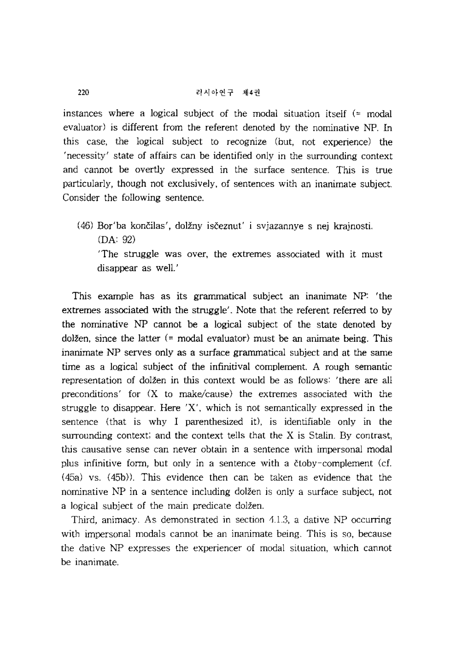instances where a logical subject of the modal situation itself  $($ = modal evaluator) is different from the referent denoted by the nominative NP. In this case, the logical subject to recognize (but, not experience) the 'necessity' state of affairs can be identified only in the surrounding context and cannot be overtly expressed in the surface sentence. This is true particularly, though not exclusively, of sentences with an inanimate subject. Consider the following sentence.

(46) Bor'ba koncilas', dolzny isceznut' i svjazannye s nej krajnosti. (DA: 92) 'The struggle was over, the extremes associated with it must

disappear as well.'

This example has as its grammatical subject an inanimate NP: 'the extremes associated with the struggle'. Note that the referent referred to by the nominative NP cannot be a logical subject of the state denoted by dolžen, since the latter  $(= \text{modal evaluator})$  must be an animate being. This inanimate NP serves only as a surface grammatical subject and at the same time as a logical subject of the infinitival complement. A rough semantic representation of dolžen in this context would be as follows: 'there are all preconditions' for  $(X$  to make/cause) the extremes associated with the struggle to disappear. Here  $X'$ , which is not semantically expressed in the sentence (that is why I parenthesized it), is identifiable only in the surrounding context; and the context tells that the X is Stalin. By contrast, this causative sense can never obtain in a sentence with impersonal modal plus infinitive form, but only in a sentence with a ctoby-complement (d. (45a) vs. (45b». This evidence then can be taken as evidence that the nominative NP in a sentence including dolžen is only a surface subject, not a logical subject of the main predicate dolžen.

Third, animacy. As demonstrated in section 4.l.3, a dative NP occurring with impersonal modals cannot be an inanimate being. This is so, because the dative NP expresses the experiencer of modal situation, which cannot be inanimate.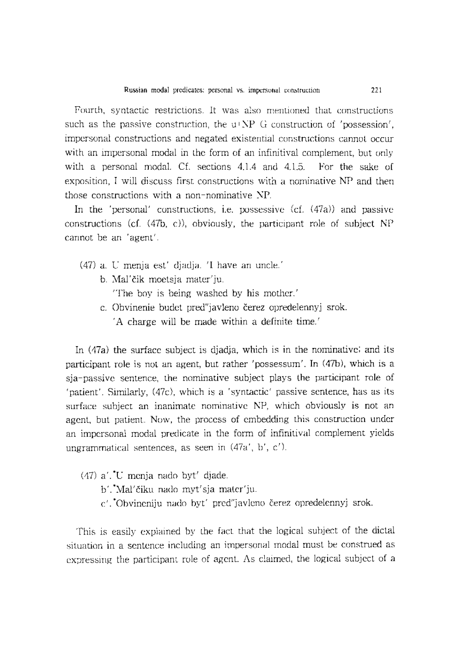Fourth, syntactic restrictions. It was also mentioned that constructions such as the passive construction, the  $u$ +NP-G construction of 'possession', impersonal constructions and negated existential constructions cannot occur with an impersonal modal in the form of an infinitival complement, but only with a personal modal. Cf. sections 4.1.4 and 4.1.5. For the sake of exposition, I will discuss first constructions with a nominative NP and then those constructions with a non-nominative NP.

In the 'personal' constructions, i.e. possessive  $(cf. (47a))$  and passive constructions (cf.  $(47b, c)$ ), obviously, the participant role of subject NP cannot be an 'agent'.

- (47) a. U menja est' djadja. 'I have an uncle.'
	- b. Mal'cik moetsja mater'ju.

'The boy is being washed by his mother.'

c. Obvinenie budet pred"javleno *cerez* opredelennyj srok. A charge will be made within a definite time.<sup>'</sup>

In (47a) the surface subject is djadja, which is in the nominative; and its participant role is not an agent, but rather 'possessum'. In  $(47b)$ , which is a sja-passive sentence, the nominative subject plays the participant role of 'patient'. Similarly, (47c), which is a 'syntactic' passive sentence, has as its surface subject an inanimate nominative NP, which obviously is not an agent, but patient. Now, the process of embedding this construction under an impersonal modal predicate in the form of infinitival complement yields ungrammatical sentences, as seen in (47a', b', c').

- (47) a'. \*U menja nado byt' djade.
	- b'.\*Mal'ciku nado myt'sja mater'ju.
	- c'. \*Obvineniju nado byt' pred"javleno *cerez* opredelennyj srok.

This is easily explained by the fact that the logical subject of the dictal situation in a sentence including an impersonal modal must be construed as expressing the participant role of agent. As claimed, the logical subject of a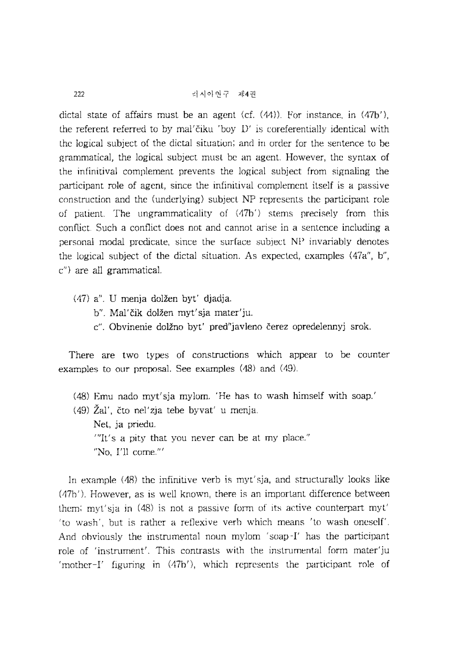dictal state of affairs must be an agent (cf.  $(44)$ ). For instance, in  $(47b')$ , the referent referred to by mal' čiku 'boy-D' is coreferentially identical with the logical subject of the dictal situation; and in order for the sentence to be grammatical, the logical subject must be an agent. However, the syntax of the infinitival complement prevents the logical subject from signaling the participant role of agent, since the infinitival complement itself is a passive construction and the (underlying) subject NP represents the participant role of patient. The ungrammaticality of (47b') stems precisely from this conflict. Such a conflict does not and cannot arise in a sentence induding a personal modal predicate, since the surface subject NP invariably denotes the logical subject of the dictal situation. As expected, examples (47a", b", c") are all grammatical.

- (47) a". U menja dolzen byt' djadja.
	- b". Mal'čik dolžen myt'sja mater'ju.
	- c". Obvinenie dolžno byť pred"javleno čerez opredelennyj srok.

There are two types of constructions which appear to be counter examples to our proposal. See examples (48) and (49).

- (48) Emu nado myt'sja mylom. 'He has to wash himself with soap.'
- $(49)$   $\tilde{Z}al'$ , čto nel'zja tebe byvat' u menja. Net, ja priedu.  $T$ ''It's a pity that you never can be at my place." "No, I'll come."'

In example (48) the infinitive verb is myt'sja, and structurally looks like (47b' ). However, as is well known, there is an important difference between them; myt'sja in (48) is not a passive form of its active counterpart myt' 'to wash', but is rather a reflexive verb which means 'to wash oneself'. And obviously the instrumental noun mylom 'soap-I' has the participant role of 'instrument'. This contrasts with the instrumental form mater'ju 'mother-I' figuring in (47b'), which represents the participant role of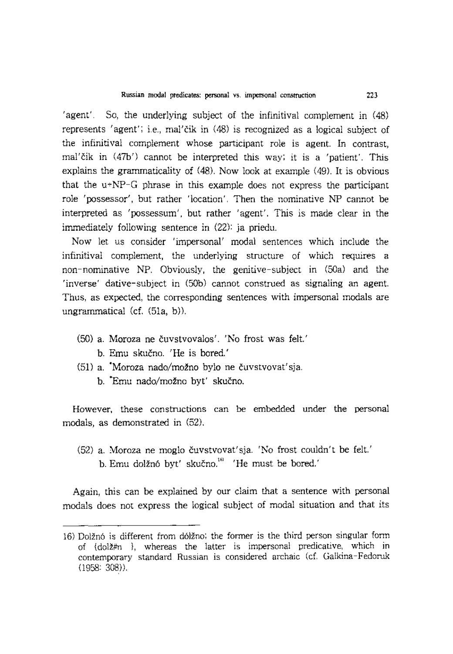'agent'. So, the underlying subject of the infinitival complement in (48) represents 'agent'; i.e., mal' čik in (48) is recognized as a logical subject of the infinitival complement whose participant role is agent. In contrast, mal'čik in (47b') cannot be interpreted this way; it is a 'patient'. This explains the grammaticality of (48). Now look at example (49). It is obvious that the u+NP-G phrase in this example does not express the participant role 'possessor', but rather 'location'. Then the nominative NP cannot be interpreted as 'possessum', but rather 'agent'. This is made clear in the immediately following sentence in (22): ja priedu.

Now let us consider 'impersonal' modal sentences which include the infinitival complement, the underlying structure of which requires a non-nominative NP. Obviously, the genitive-subject in (50a) and the 'inverse' dative-subject in (50b) cannot construed as signaling an agent. Thus, as expected, the corresponding sentences with impersonal modals are ungrammatical (cf. (51a, b)).

- (50) a. Moroza ne cuvstvovalos'. 'No frost was felt.' b. Emu skučno. 'He is bored.'
- (51) a. 'Moroza nado/mozno bylo ne cuvstvovat'sja.
	- b. 'Emu nado/mozno byt' skucno.

However, these constructions can be embedded under the personal modals, as demonstrated in (52).

(52) a. Moroza ne moglo cuvstvovat'sja. 'No frost couldn't be felt.' b. Emu dolžnó byt' skučno.<sup>161</sup> 'He must be bored.'

Again, this can be explained by our claim that a sentence with personal modals does not express the logical subject of modal situation and that its

<sup>16)</sup> Dolzn6 is different from d6lzno; the former is the third person singular form of {dolz#n }, whereas the latter is impersonal predicative, which in contemporary standard Russian is considered archaic (cf. Galkina-Fedoruk  $(1958: 308)$ .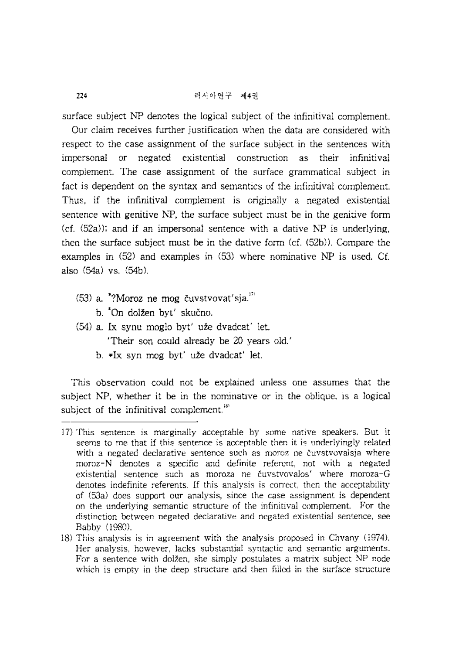surface subject NP denotes the logical subject of the infinitival complement.

Our claim receives further justification when the data are considered with respect to the case assignment of the surface subject in the sentences with impersonal or negated existential construction as their infinitival complement. The case assignment of the surface grammatical subject in fact is dependent on the syntax and semantics of the infinitival complement. Thus, if the infinitival complement is originally a negated existential sentence with genitive NP, the surface subject must be in the genitive form  $(cf. (52a))$ ; and if an impersonal sentence with a dative NP is underlying, then the surface subject must be in the dative form  $(cf. (52b))$ . Compare the examples in (52) and examples in (53) where nominative NP is used. Cf. also (54a) vs. (54b).

- $(53)$  a.  $\sqrt[4]{3}$ Moroz ne mog čuvstvovat'sja. $\sqrt[10]{3}$ 
	- b. <sup>\*</sup>On dolžen byt' skučno.
- (54) a. Ix synu moglo byt' uze dvadcat' let. 'Their son could already be 20 years old.'
	- b. \*Ix syn mog byt' uze dvadcat' let.

This observation could not be explained unless one assumes that the subject NP, whether it be in the nominative or in the oblique, is a logical subject of the infinitival complement.<sup>181</sup>

<sup>17)</sup> This sentence is marginally acceptable by some native speakers. But it seems to me that if this sentence is acceptable then it is underlyingly related with a negated declarative sentence such as moroz ne cuvstvovalsja where moroz-N denotes a specific and definite referent, not with a negated existential sentence such as moroza ne cuvstvovalos' where moroza-G denotes indefinite referents. If this analysis is correct, then the acceptability of (53a) does support our analysis, since the case assignment is dependent on the underlying semantic structure of the infinitival complement. For the distinction between negated declarative and negated existential sentence, see Babby (1980).

<sup>18)</sup> This analysis is in agreement with the analysis proposed in Chvany (1974). Her analysis, however, lacks substantial syntactic and semantic arguments. For a sentence with dolžen, she simply postulates a matrix subject NP node which is empty in the deep structure and then filled in the surface structure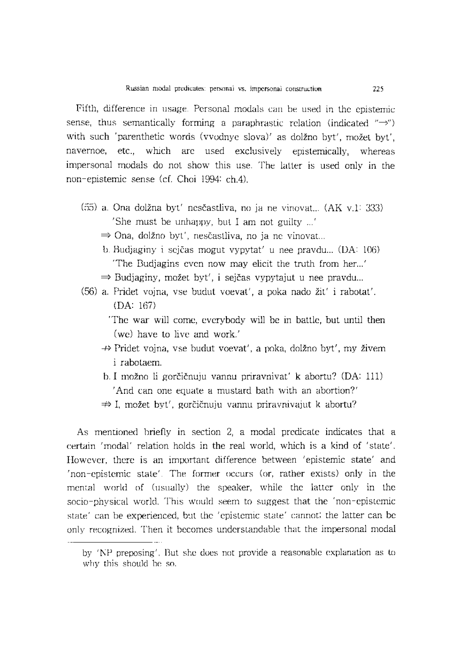Fifth, difference in usage. Personal modals can be used in the epistemic sense, thus semantically forming a paraphrastic relation (indicated  $\rightarrow$ ") with such 'parenthetic words (vvodnye slova)' as dolžno byt', možet byt', navemoe, etc., which are used exclusively epistemically, whereas impersonal modals do not show this use. The latter is used only in the non-epistemic sense (cf. Choi 1994: ch.4).

- (55) a. Ona dolzna byt' nescastliva, no ja ne vinovat... (AK v.1: 333) 'She must be unhappy, but I am not guilty ... '
	- $\Rightarrow$  Ona, dolžno byt', nesčastliva, no ja ne vinovat...
	- b. Budjaginy i sejčas mogut vypytat' u nee pravdu... (DA: 106) The Budjagins even now may elicit the truth from her...'
	- $\Rightarrow$  Budjaginy, možet byt', i sejčas vypytajut u nee pravdu...
- (56) a. Pridet vojna, vse budut voevat', a poka nado zit' i rabotat'. (DA: 167)
	- 'The war will come, everybody will be in battle, but until then (we) have to live and work.'
	- $\rightarrow$  Pridet vojna, vse budut voevat', a poka, dolžno byt', my živem i rabotaem.
	- b. I možno li gorčičnuju vannu priravnivat' k abortu? (DA: 111) 'And can one equate a mustard bath with an abortion?'
	- $\Rightarrow$  I, možet byt', gorčičnuju vannu priravnivajut k abortu?

As mentioned briefly in section 2, a modal predicate indicates that a certain 'modal' relation holds in the real world, which is a kind of 'state'. However, there is an important difference between 'epistemic state' and 'non-epistemic state'. The fonner occurs (or, rather exists) only in the mental world of (usually) the speaker, while the latter only in the socio-physical world. This would seem to suggest that the 'non-epistemic state' can be experienced, but the 'epistemic state' cannot; the latter can be only recognized. Then it becomes understandable that the impersonal modal

by 'NP preposing'. But she does not provide a reasonable explanation as to why this should be so.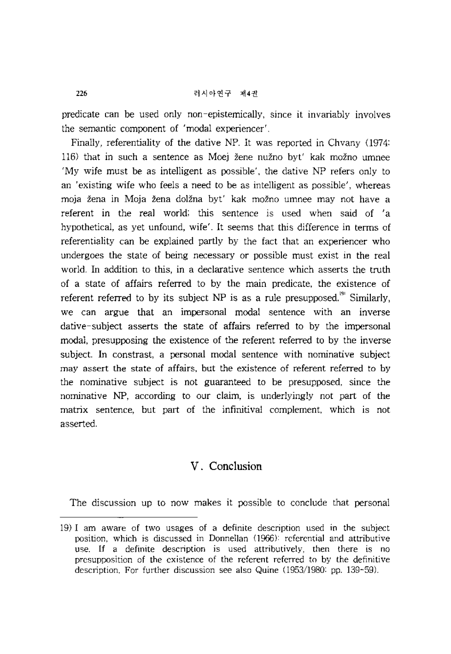predicate can be used only non-epistemically, since it invariably involves the semantic component of 'modal experiencer'.

Finally, referentiality of the dative NP. It was reported in Chvany (1974: 116) that in such a sentence as Moej zene nuzno byt' kak mozno umnee 'My wife must be as intelligent as possible', the dative NP refers only to an 'existing wife who feels a need to be as intelligent as possible', whereas moja zena in Moja zena dolzna byt' kak mozno umnee may not have a referent in the real world; this sentence is used when said of 'a hypothetical, as yet unfound, wife'. It seems that this difference in terms of referentiality can be explained partly by the fact that an experiencer who undergoes the state of being necessary or possible must exist in the real world. In addition to this, in a declarative sentence which asserts the truth of a state of affairs referred to by the main predicate, the existence of referent referred to by its subject NP is as a rule presupposed.<sup>191</sup> Similarly, we can argue that an impersonal modal sentence with an inverse dative-subject asserts the state of affairs referred to by the impersonal modal, presupposing the existence of the referent referred to by the inverse subject. In constrast, a personal modal sentence with nominative subject may assert the state of affairs, but the existence of referent referred to by the nominative subject is not guaranteed to be presupposed, since the nominative NP, according to our claim, is underlyingly not part of the matrix sentence, but part of the infinitival complement, which is not asserted.

## V. **Conclusion**

The discussion up to now makes it possible to conclude that personal

<sup>19)</sup> I am aware of two usages of a definite description used in the subject position, which is discussed in Donnellan (1966): referential and attributive use. If a definite description is used attributively, then there is no presupposition of the existence of the referent referred to by the definitive description. For further discussion see also Quine (1953/1980: pp. 139-59).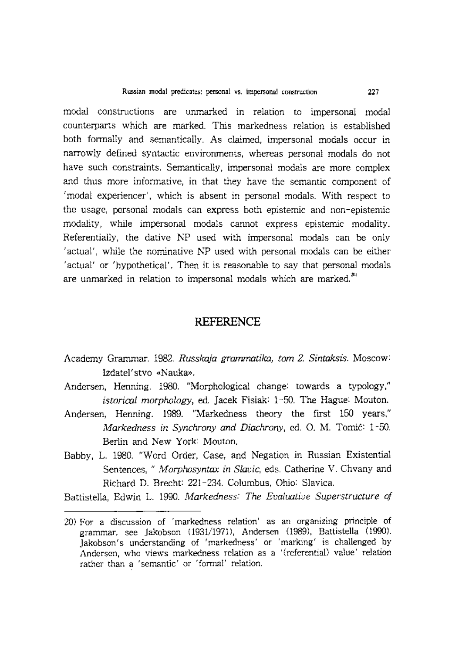modal constructions are unmarked in relation to impersonal modal counterparts which are marked. This markedness relation is established both formally and semantically. As claimed, impersonal modals occur in narrowly defined syntactic environments, whereas personal modals do not have such constraints. Semantically, impersonal modals are more complex and thus more informative, in that they have the semantic component of 'modal experiencer', which is absent in personal modals. With respect to the usage, personal modals can express both epistemic and non -epistemic modality, while impersonal modals cannot express epistemic modality. Referentially, the dative NP used with impersonal modals can be only 'actual', while the nominative NP used with personal modals can be either 'actual' or 'hypothetical'. Then it is reasonable to say that personal modals are unmarked in relation to impersonal modals which are marked. $^{x_i}$ 

### **REFERENCE**

- Academy Grammar. 1982. *Russkaja grammatika, tom* 2. *Sintaksis.* Moscow: Izdatel'stvo «Nauka».
- Andersen, Henning. 1980. "Morphological change: towards a typology," *istorical morphology,* ed. Jacek Fisiak: 1-50. The Hague: Mouton.
- Andersen, Henning. 1989. "Markedness theory the first 150 years," *Markedness in Synchrony and Diachrony,* ed. O. M. Tomic: 1-50. Berlin and New York: Mouton.
- Babby, L. 1980. "Word Order, Case, and Negation in Russian Existential Sentences, " *Morphosyntax in Slavic,* eds. Catherine V. Chvany and Richard D. Brecht: 221-234. Columbus, Ohio: Slavica.

Battistella, Edwin L. 1990. *Markedness: The Evaluative Superstructure of* 

<sup>20)</sup> For a discussion of 'markedness relation' as an organizing principle of grammar, see Jakobson (1931/1971), Andersen (1989), Battistella (1990). Jakobson's understanding of 'markedness' or 'marking' is challenged by Andersen, who views markedness relation as a '(referential) value' relation rather than a 'semantic' or 'formal' relation.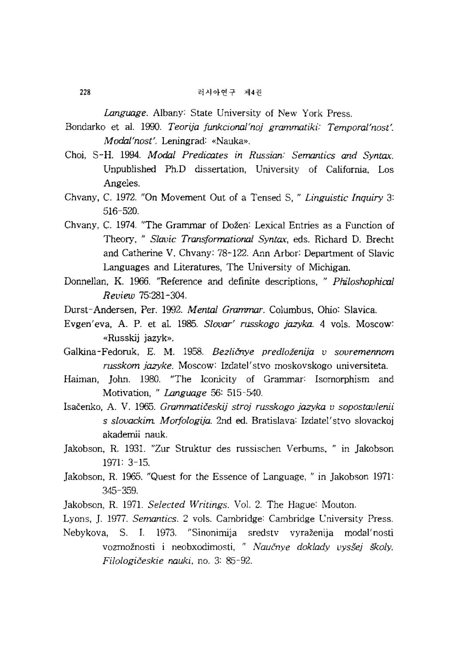*Language.* Albany: State University of New York Press.

- Bondarko et al. 1990. *Teorija funkcional'noj grammatiki: Temporal'nost'. Modal'nost'.* Leningrad: «Nauka».
- Choi, S-H. 1994. *Modal Predicates in Russian: Semantics and Syntax.*  Unpublished Ph.D dissertation, University of California, Los Angeles.
- Chvany, C. 1972. "On Movement Out of a Tensed S, " *Linguistic Inquiry 3:*  516-520.
- Chvany, C. 1974. "The Grammar of Dozen: Lexical Entries as a Function of Theory, " *Slavic Transformational Syntax,* eds. Richard D. Brecht and Catherine V. Chvany: 78-122. Ann Arbor: Department of Slavic Languages and Literatures, The University of Michigan.
- Donnellan, K. 1966. "Reference and definite descriptions, " *Philoshophical Review 75:281-304.*
- Durst-Andersen, Per. 1992. *Mental Grammar.* Columbus, Ohio: Slavica.
- Evgen' eva, A. P. et al. 1985. *Slovar' russkogo jazyka.* 4 vols. Moscow: «Russkij jazyk».
- Galkina-Fedoruk, E. M. 1958. *Bezlienye predloienija v sovremennom russkom jazyke.* Moscow: Izdatel'stvo moskovskogo universiteta.
- Haiman, John. 1980. "The !conicity of Grammar: Isomorphism and Motivation, " *Language* 56: 515-540.
- Isacenko, A. V. 1965. *Grammaticeskij stroj russkogo jazyka v sopostavlenii*  s *slovackim Morfologija.* 2nd ed. Bratislava: Izdatel'stvo slovackoj akadernii nauk.
- Jakobson, R. 1931. "Zur Struktur des russischen Verbums, " in Jakobson 1971: 3-15.
- Jakobson, R. 1965. "Quest for the Essence of Language, " in Jakobson 1971: 345-359.
- Jakobson, R. 1971. *Selected Writings.* Vol. 2. The Hague: Mouton.
- Lyons, ]. 1977. *Semantics.* 2 vols. Cambridge: Cambridge University Press.
- Nebykova, S. 1. 1973. "Sinonirnija sredstv vyrazenija modal'nosti vozmoznosti i neobxodimosti, " *Naucnye doklady vyssej sKoly. Filologiceskie nauki,* no. 3: 85-92.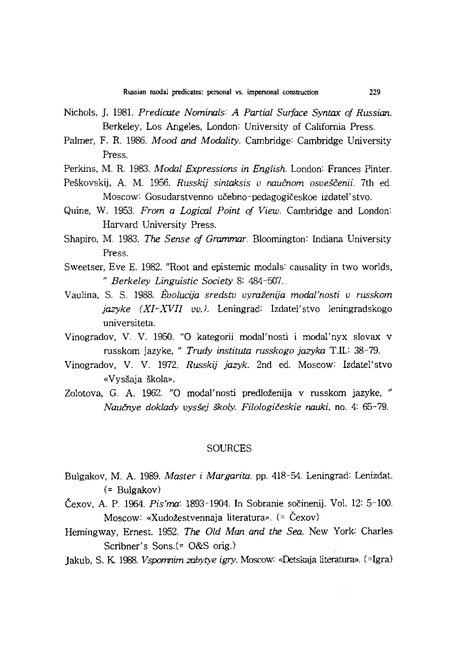- Nichols, ]. 1981. *Predicate Nominals: A Partial Surface Syntax of Russian.*  Berkeley, Los Angeles, London: University of California Press.
- Palmer, F. R. 1986. *Mood and Modality.* Cambridge: Cambridge University Press.
- Perkins, M. R. 1983. *Modal Expressions in English.* London: Frances Pinter.
- Peškovskij, A. M. 1956. *Russkij sintaksis v naučnom osveščenii.* 7th ed. Moscow: Gosudarstvenno učebno-pedagogičeskoe izdatel'stvo.
- Quine, W. 1953. *From* a *Logical Point of View.* Cambridge and London: Harvard University Press.
- Shapiro, M. 1983. *The Sense of Grammar.* Bloomington: Indiana University Press.
- Sweetser, Eve E. 1982. "Root and epistemic modals: causality in two worlds, *" Berkeley Linguistic Society* 8: 484-507.
- Vaulina, S. S. 1988. *E-'volucija sredstv vyraienija modal'nosti v russkom jazyke (XI-XVII vv.J.* Leningrad: Izdatel'stvo leningradskogo universiteta.
- Vinogradov, V. V. 1950. "0 kategorii modal'nosti i modal'nyx slovax v russkom jazyke, " *Trudy instituta russkogo jazyka* T.I1.: 38-79.
- Vinogradov, V. V. 1972. *Russkij jazyk.* 2nd ed. Moscow: Izdatel'stvo «Vyssaja skola».
- Zolotova, G. A. 1962. "0 modal'nosti predlozenija v russkom jazyke, " *Naucnye doklady vyssej \$koly. Filologiceskie nauki,* no. 4: 65-79.

#### SOURCES

- Bulgakov, M. A. 1989. *Master i Margarita.* pp. 418-54. Leningrad: Lenizdat. (= Bulgakov)
- Čexov, A. P. 1964. *Pis'ma*: 1893-1904. In Sobranie sočinenij. Vol. 12: 5-100. Moscow: «Xudozestvennaja literatura». (= Cexov)
- Hemingway, Ernest. 1952. *The Old Man and the Sea.* New York: Charles Scribner's Sons.(= O&S orig.)
- Jakub, S. K 1008. *Vspomnim zabytye igry.* Moscow: «Detskaja literatura». (=Igra)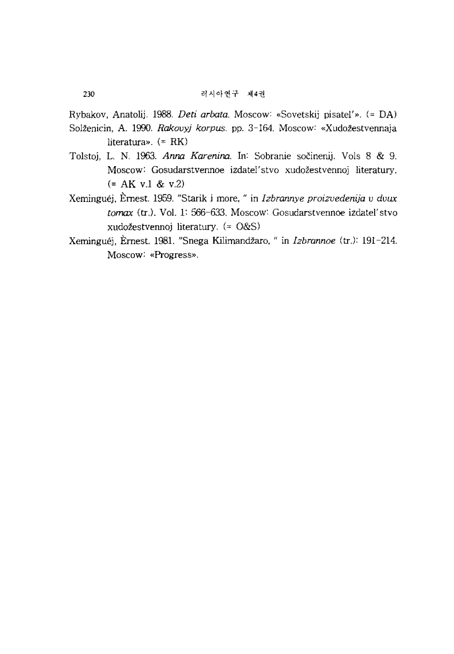Rybakov, Anatolij. 1988. *Deti arbata.* Moscow: «Sovetskij pisatel'». (= DA)

- Solženicin, A. 1990. *Rakovyj korpus*. pp. 3-164. Moscow: «Xudožestvennaja literatura». (= RK)
- Tolstoj, L. N. 1963. *Anna Karenina*. In: Sobranie sočinenij. Vols 8 & 9. Moscow: Gosudarstvennoe izdatel' stvo xudozestvennoj literatury. (= AK v.1 & v.2)
- Xerninguej, Ernest. 1959. "Starik i more, " in *Izbrannye proizvedenija v dvux*  tomax (tr.). Vol. 1: 566-633. Moscow: Gosudarstvennoe izdatel'stvo xudozestvennoj literatury. (= O&S)
- Xerninguej, Ernest. 1981. "Snega Kilimandzaro, " in *Izbrannoe* (tr.): 191-214. Moscow: «Progress».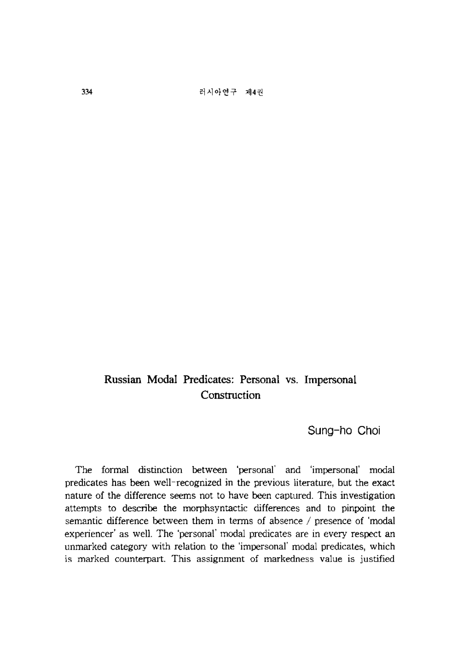# **Russian Modal Predicates: Personal** vs. **Impersonal Construction**

**Sung-ho Choi** 

The formal distinction between 'personal' and 'impersonal' modal predicates has been well-recognized in the previous literature, but the exact nature of the difference seems not to have been captured. This investigation attempts to describe the morphsyntactic differences and to pinpoint the semantic difference between them in terms of absence / presence of 'modal experiencer' as well. The 'personal' modal predicates are in every respect an unmarked category with relation to the 'impersonal' modal predicates, which is marked counterpart. This assignment of markedness value is justified